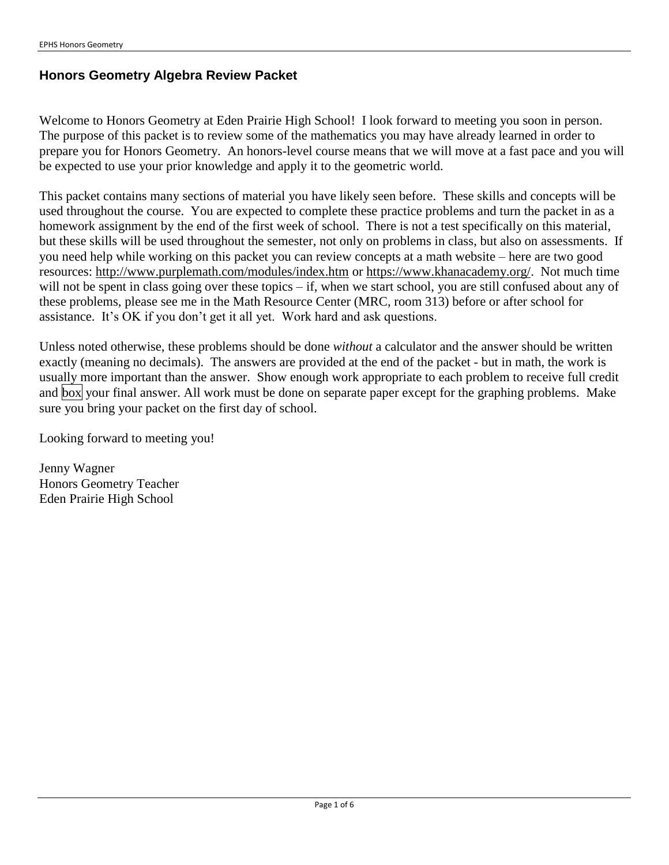## **Honors Geometry Algebra Review Packet**

Welcome to Honors Geometry at Eden Prairie High School! I look forward to meeting you soon in person. The purpose of this packet is to review some of the mathematics you may have already learned in order to prepare you for Honors Geometry. An honors-level course means that we will move at a fast pace and you will be expected to use your prior knowledge and apply it to the geometric world.

This packet contains many sections of material you have likely seen before. These skills and concepts will be used throughout the course. You are expected to complete these practice problems and turn the packet in as a homework assignment by the end of the first week of school. There is not a test specifically on this material, but these skills will be used throughout the semester, not only on problems in class, but also on assessments. If you need help while working on this packet you can review concepts at a math website – here are two good resources: http://www.purplemath.com/modules/index.htm or https://www.khanacademy.org/. Not much time will not be spent in class going over these topics – if, when we start school, you are still confused about any of these problems, please see me in the Math Resource Center (MRC, room 313) before or after school for assistance. It's OK if you don't get it all yet. Work hard and ask questions.

Unless noted otherwise, these problems should be done *without* a calculator and the answer should be written exactly (meaning no decimals). The answers are provided at the end of the packet - but in math, the work is usually more important than the answer. Show enough work appropriate to each problem to receive full credit and box your final answer. All work must be done on separate paper except for the graphing problems. Make sure you bring your packet on the first day of school.

Looking forward to meeting you!

Jenny Wagner Honors Geometry Teacher Eden Prairie High School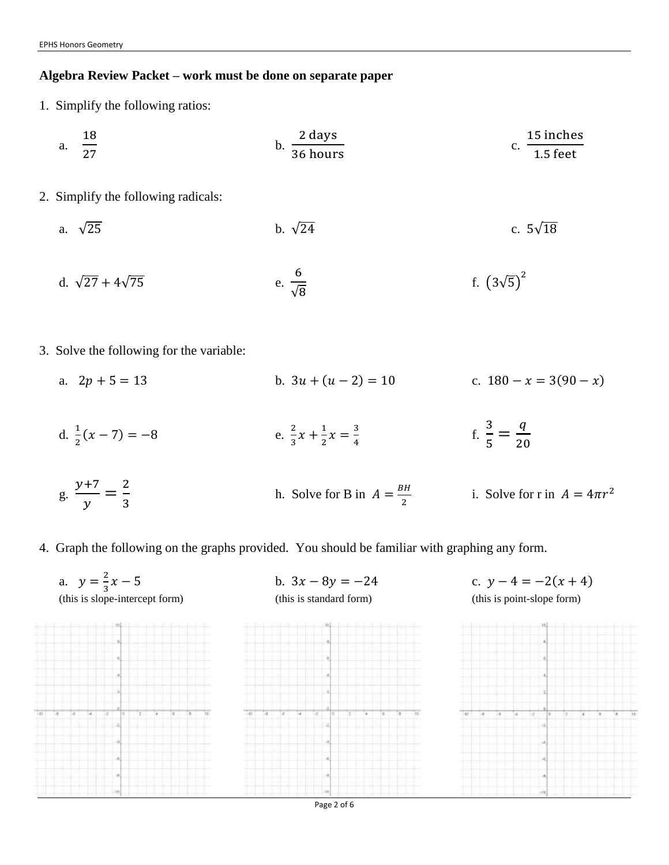## **Algebra Review Packet – work must be done on separate paper**

1. Simplify the following ratios:

a. 
$$
\frac{18}{27}
$$
 b.  $\frac{2 \text{ days}}{36 \text{ hours}}$  c.  $\frac{15 \text{ inches}}{1.5 \text{ feet}}$ 

- 2. Simplify the following radicals:
	- a.  $\sqrt{25}$  c.  $5\sqrt{18}$
	- d.  $\sqrt{27} + 4\sqrt{75}$ 6 √8 f.  $(3\sqrt{5})^2$
- 3. Solve the following for the variable:
	- a.  $2p + 5 = 13$  b.  $3u + (u 2) = 10$  c.  $180 x = 3(90 x)$
	- d.  $\frac{1}{2}(x-7) = -8$  e. 2  $\frac{2}{3}x + \frac{1}{2}$  $\frac{1}{2}x = \frac{3}{4}$ 4 f. 3  $\frac{3}{5} = \frac{q}{20}$ 20
	- g.  $y+7$  $\frac{+7}{y} = \frac{2}{3}$ 3 h. Solve for B in  $A = \frac{BH}{a}$ 2 i. Solve for r in  $A = 4\pi r^2$
- 4. Graph the following on the graphs provided. You should be familiar with graphing any form.



Page 2 of 6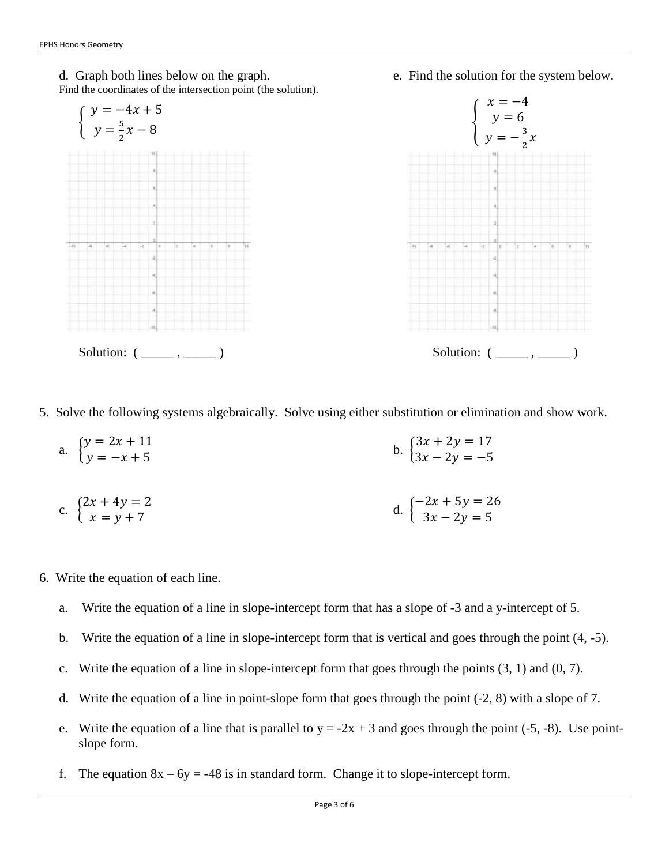



5. Solve the following systems algebraically. Solve using either substitution or elimination and show work.

a. 
$$
\begin{cases} y = 2x + 11 \\ y = -x + 5 \end{cases}
$$
  
b. 
$$
\begin{cases} 3x + 2y = 17 \\ 3x - 2y = -5 \end{cases}
$$

c. 
$$
\begin{cases} 2x + 4y = 2 \\ x = y + 7 \end{cases}
$$
d. 
$$
\begin{cases} -2x + 5y = 26 \\ 3x - 2y = 5 \end{cases}
$$

- 6. Write the equation of each line.
	- a. Write the equation of a line in slope-intercept form that has a slope of -3 and a y-intercept of 5.
	- b. Write the equation of a line in slope-intercept form that is vertical and goes through the point (4, -5).
	- c. Write the equation of a line in slope-intercept form that goes through the points (3, 1) and (0, 7).
	- d. Write the equation of a line in point-slope form that goes through the point (-2, 8) with a slope of 7.
	- e. Write the equation of a line that is parallel to  $y = -2x + 3$  and goes through the point (-5, -8). Use pointslope form.
	- f. The equation  $8x 6y = -48$  is in standard form. Change it to slope-intercept form.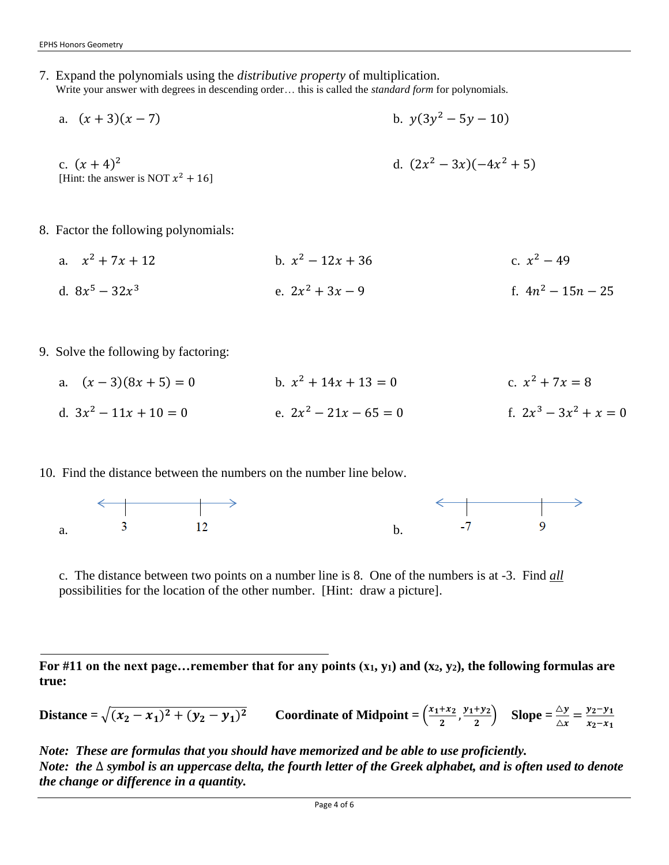7. Expand the polynomials using the *distributive property* of multiplication. Write your answer with degrees in descending order… this is called the *standard form* for polynomials.

a. 
$$
(x + 3)(x - 7)
$$
  
b.  $y(3y^2 - 5y - 10)$   
c.  $(x + 4)^2$   
d.  $(2x^2 - 3x)(-4x^2 + 5)$   
d.  $(2x^2 - 3x)(-4x^2 + 5)$ 

- 8. Factor the following polynomials:
	- a.  $x^2 + 7x + 12$  b. x b.  $x^2 - 12x + 36$ c.  $x^2 - 49$ d.  $8x^5 - 32x^3$ e.  $2x^2 + 3x - 9$  f. 4n f.  $4n^2 - 15n - 25$
- 9. Solve the following by factoring:
	- a.  $(x-3)(8x+5) = 0$ b.  $x^2 + 14x + 13 = 0$ c.  $x^2 + 7x = 8$ d.  $3x^2 - 11x + 10 = 0$  e. 2x e.  $2x^2 - 21x - 65 = 0$  $3^3 - 3x^2 + x = 0$
- 10. Find the distance between the numbers on the number line below.



c. The distance between two points on a number line is 8. One of the numbers is at -3. Find *all* possibilities for the location of the other number. [Hint: draw a picture].

For #11 on the next page... remember that for any points  $(x_1, y_1)$  and  $(x_2, y_2)$ , the following formulas are **true:**

**Distance** =  $\sqrt{(x_2 - x_1)^2 + (y_2 - y_1)^2}$  **Coordinate of Midpoint** =  $\frac{(x_1 + x_2)^2}{2}$  $\frac{+x_2}{2}, \frac{y_1+y_2}{2}$  $\frac{+y_2}{2}$  **Slope** =  $\frac{\Delta y}{\Delta x}$  =  $\frac{y_2 - y_1}{x_2 - x_1}$  $x_2-x_1$ 

*Note: These are formulas that you should have memorized and be able to use proficiently. Note: the* ∆ *symbol is an uppercase delta, the fourth letter of the Greek alphabet, and is often used to denote the change or difference in a quantity.*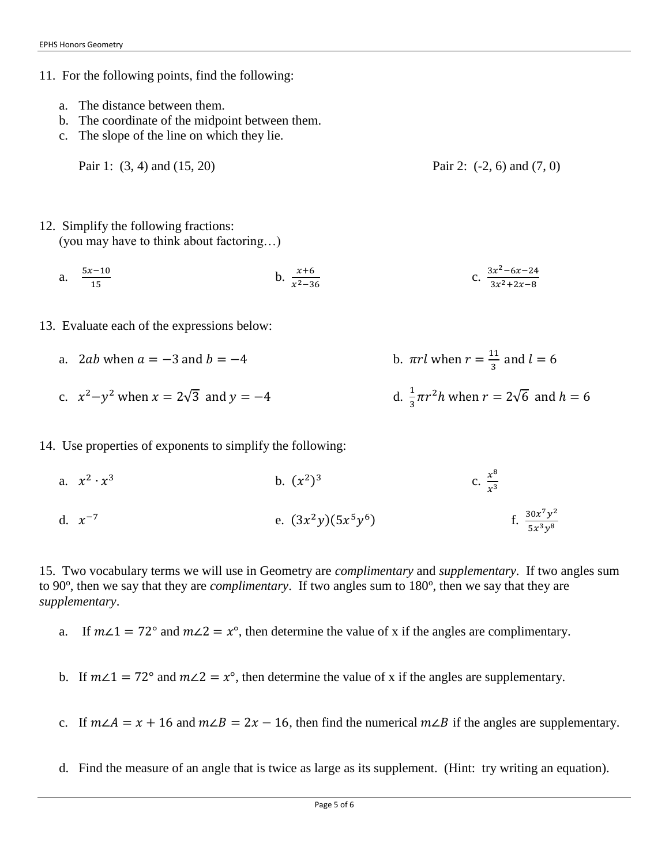- 11. For the following points, find the following:
	- a. The distance between them.
	- b. The coordinate of the midpoint between them.
	- c. The slope of the line on which they lie.
		- Pair 1: (3, 4) and (15, 20) Pair 2: (-2, 6) and (7, 0)

- 12. Simplify the following fractions: (you may have to think about factoring…)
	- a.  $\frac{5x-10}{15}$ 15 b.  $\frac{x+6}{x^2-36}$ c.  $\frac{3x^2-6x-24}{x^2+2x-2}$  $3x^2 + 2x - 8$
- 13. Evaluate each of the expressions below:
	- a. 2*ab* when  $a = -3$  and  $b = -4$ 11  $\frac{11}{3}$  and  $l = 6$ c.  $x^2 - y^2$  when  $x = 2\sqrt{3}$  and  $y = -4$  d.  $\frac{1}{3}$  $\frac{1}{3}\pi r^2 h$  when  $r = 2\sqrt{6}$  and  $h = 6$
- 14. Use properties of exponents to simplify the following:
	- a.  $x^2 \cdot x$ 3 b.  $(x^2)^3$ c.  $\frac{x^8}{a^3}$  $x^3$ d.  $x^{-7}$ e.  $(3x^2y)(5x^5y^6)$ )  $\int_{0}^{1} \frac{30x^7y^2}{5x^3x^8}$  $5x^3y^8$

15. Two vocabulary terms we will use in Geometry are *complimentary* and *supplementary*. If two angles sum to 90<sup>o</sup>, then we say that they are *complimentary*. If two angles sum to 180<sup>o</sup>, then we say that they are *supplementary*.

- a. If  $m\angle 1 = 72^\circ$  and  $m\angle 2 = x^\circ$ , then determine the value of x if the angles are complimentary.
- b. If  $m\angle 1 = 72^\circ$  and  $m\angle 2 = x^\circ$ , then determine the value of x if the angles are supplementary.
- c. If  $m\angle A = x + 16$  and  $m\angle B = 2x 16$ , then find the numerical  $m\angle B$  if the angles are supplementary.
- d. Find the measure of an angle that is twice as large as its supplement. (Hint: try writing an equation).